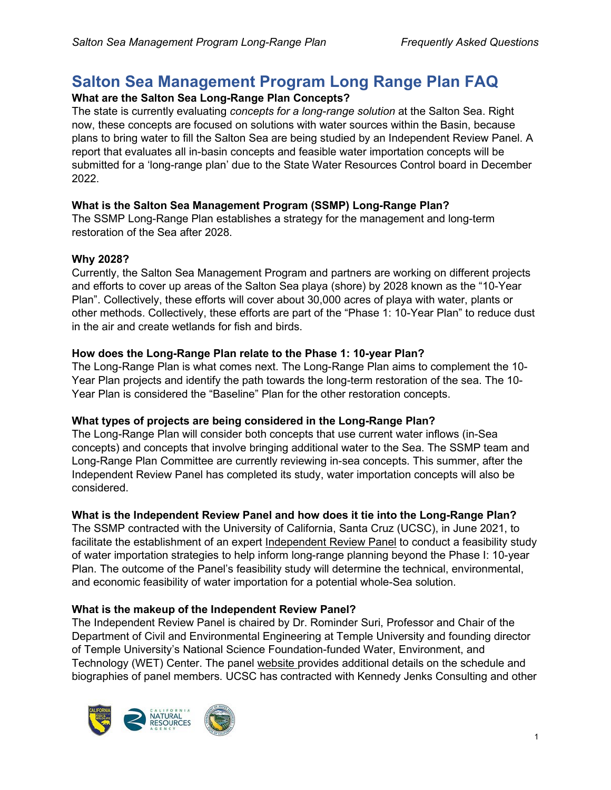# **Salton Sea Management Program Long Range Plan FAQ What are the Salton Sea Long-Range Plan Concepts?**

The state is currently evaluating *concepts for a long-range solution* at the Salton Sea. Right now, these concepts are focused on solutions with water sources within the Basin, because plans to bring water to fill the Salton Sea are being studied by an Independent Review Panel. A report that evaluates all in-basin concepts and feasible water importation concepts will be submitted for a 'long-range plan' due to the State Water Resources Control board in December 2022.

# **What is the Salton Sea Management Program (SSMP) Long-Range Plan?**

The SSMP Long-Range Plan establishes a strategy for the management and long-term restoration of the Sea after 2028.

# **Why 2028?**

Currently, the Salton Sea Management Program and partners are working on different projects and efforts to cover up areas of the Salton Sea playa (shore) by 2028 known as the "10-Year Plan". Collectively, these efforts will cover about 30,000 acres of playa with water, plants or other methods. Collectively, these efforts are part of the "Phase 1: 10-Year Plan" to reduce dust in the air and create wetlands for fish and birds.

# **How does the Long-Range Plan relate to the Phase 1: 10-year Plan?**

The Long-Range Plan is what comes next. The Long-Range Plan aims to complement the 10- Year Plan projects and identify the path towards the long-term restoration of the sea. The 10- Year Plan is considered the "Baseline" Plan for the other restoration concepts.

# **What types of projects are being considered in the Long-Range Plan?**

The Long-Range Plan will consider both concepts that use current water inflows (in-Sea concepts) and concepts that involve bringing additional water to the Sea. The SSMP team and Long-Range Plan Committee are currently reviewing in-sea concepts. This summer, after the Independent Review Panel has completed its study, water importation concepts will also be considered.

# **What is the Independent Review Panel and how does it tie into the Long-Range Plan?**

The SSMP contracted with the University of California, Santa Cruz (UCSC), in June 2021, to facilitate the establishment of an expert Independent Review Panel to conduct a feasibility study of water importation strategies to help inform long-range planning beyond the Phase I: 10-year Plan. The outcome of the Panel's feasibility study will determine the technical, environmental, and economic feasibility of water importation for a potential whole-Sea solution.

# **What is the makeup of the Independent Review Panel?**

The Independent Review Panel is chaired by Dr. Rominder Suri, Professor and Chair of the Department of Civil and Environmental Engineering at Temple University and founding director of Temple University's National Science Foundation-funded Water, Environment, and Technology (WET) Center. The panel [website p](https://saltonsea.ca.gov/planning/water-importation-%20independent-review-panel/)rovides additional details on the schedule and biographies of panel members. UCSC has contracted with Kennedy Jenks Consulting and other

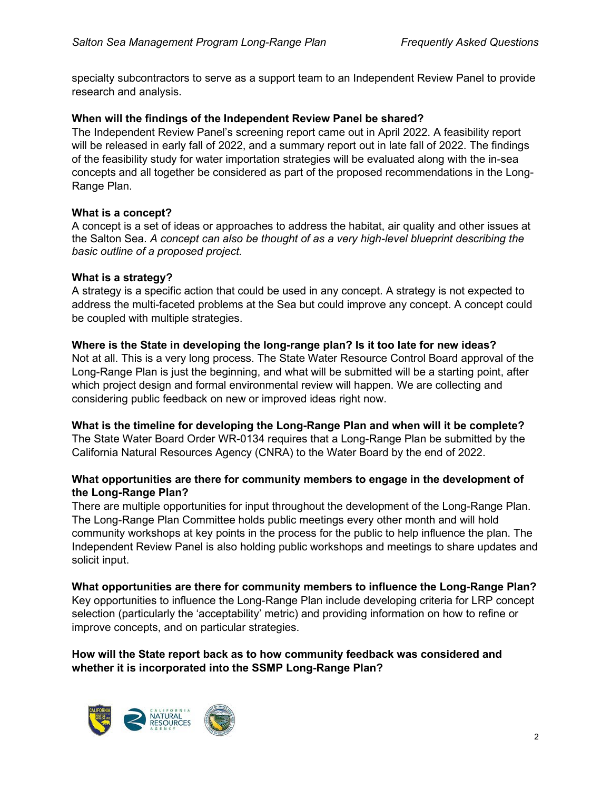specialty subcontractors to serve as a support team to an Independent Review Panel to provide research and analysis.

### **When will the findings of the Independent Review Panel be shared?**

[The Independent Review Panel's screening report came out in April 2022. A feasibility report](https://transform.ucsc.edu/work/salton-sea-project/)  will be released in early fall of [2022, and a summary report out in](https://transform.ucsc.edu/work/salton-sea-project/) late fall of 2022. The findings of the feasibility study for water importation strategies will be evaluated along with the in-sea concepts and all together be considered as part of the proposed recommendations in the Long-Range Plan.

# **What is a concept?**

A concept is a set of ideas or approaches to address the habitat, air quality and other issues at the Salton Sea. *A concept can also be thought of as a very high-level blueprint describing the basic outline of a proposed project.*

# **What is a strategy?**

A strategy is a specific action that could be used in any concept. A strategy is not expected to address the multi-faceted problems at the Sea but could improve any concept. A concept could be coupled with multiple strategies.

# **Where is the State in developing the long-range plan? Is it too late for new ideas?**

Not at all. This is a very long process. The State Water Resource Control Board approval of the Long-Range Plan is just the beginning, and what will be submitted will be a starting point, after which project design and formal environmental review will happen. We are collecting and considering public feedback on new or improved ideas right now.

#### **What is the timeline for developing the Long-Range Plan and when will it be complete?**

The State Water Board Order WR-0134 requires that a Long-Range Plan be submitted by the California Natural Resources Agency (CNRA) to the Water Board by the end of 2022.

# **What opportunities are there for community members to engage in the development of the Long-Range Plan?**

There are multiple opportunities for input throughout the development of the Long-Range Plan. The Long-Range Plan Committee holds public meetings every other month and will hold community workshops at key points in the process for the public to help influence the plan. The Independent Review Panel is also holding public workshops and meetings to share updates and solicit input.

**What opportunities are there for community members to influence the Long-Range Plan?**  Key opportunities to influence the Long-Range Plan include developing criteria for LRP concept

selection (particularly the 'acceptability' metric) and providing information on how to refine or

# **How will the State report back as to how community feedback was considered and whether it is incorporated into the SSMP Long-Range Plan?**



improve concepts, and on particular strategies.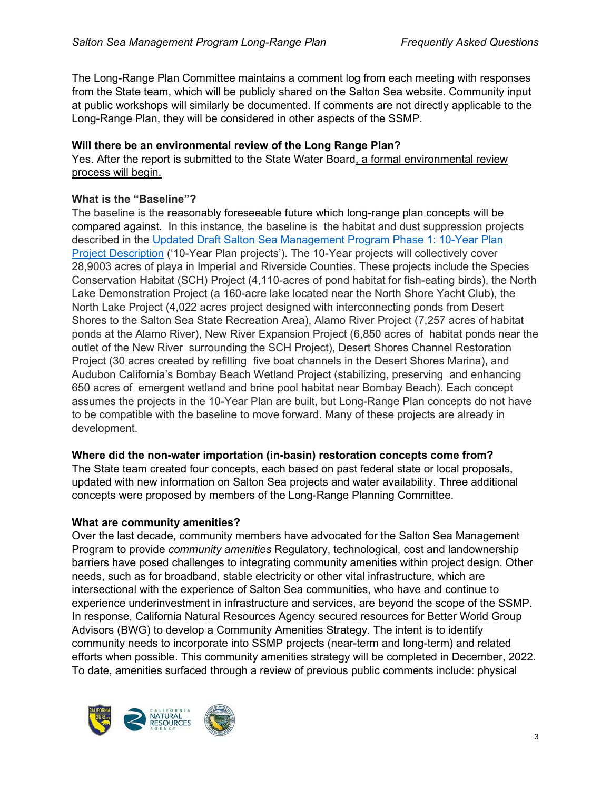The Long-Range Plan Committee maintains a comment log from each meeting with responses from the State team, which will be publicly shared on the Salton Sea website. Community input at public workshops will similarly be documented. If comments are not directly applicable to the Long-Range Plan, they will be considered in other aspects of the SSMP.

# **Will there be an environmental review of the Long Range Plan?**

Yes. After the report is submitted to the State Water Board, a formal environmental review process will begin.

# **What is the "Baseline"?**

The baseline is the **r**easonably foreseeable future which long-range plan concepts will be compared against. In this instance, the baseline is the habitat and dust suppression projects described in the [Updated Draft Salton Sea Management Program Phase 1: 10-Year Plan](https://saltonsea.ca.gov/planning/ssmp-draft-description-project/)  [Project Description](https://saltonsea.ca.gov/planning/ssmp-draft-description-project/) ('10-Year Plan projects'). The 10-Year projects will collectively cover 28,9003 acres of playa in Imperial and Riverside Counties. These projects include the Species Conservation Habitat (SCH) Project (4,110-acres of pond habitat for fish-eating birds), the North Lake Demonstration Project (a 160-acre lake located near the North Shore Yacht Club), the North Lake Project (4,022 acres project designed with interconnecting ponds from Desert Shores to the Salton Sea State Recreation Area), Alamo River Project (7,257 acres of habitat ponds at the Alamo River), New River Expansion Project (6,850 acres of habitat ponds near the outlet of the New River surrounding the SCH Project), Desert Shores Channel Restoration Project (30 acres created by refilling five boat channels in the Desert Shores Marina), and Audubon California's Bombay Beach Wetland Project (stabilizing, preserving and enhancing 650 acres of emergent wetland and brine pool habitat near Bombay Beach). Each concept assumes the projects in the 10-Year Plan are built, but Long-Range Plan concepts do not have to be compatible with the baseline to move forward. Many of these projects are already in development.

# **Where did the non-water importation (in-basin) restoration concepts come from?**

The State team created four concepts, each based on past federal state or local proposals, updated with new information on Salton Sea projects and water availability. Three additional concepts were proposed by members of the Long-Range Planning Committee.

# **What are community amenities?**

Over the last decade, community members have advocated for the Salton Sea Management Program to provide *community amenities* Regulatory, technological, cost and landownership barriers have posed challenges to integrating community amenities within project design. Other needs, such as for broadband, stable electricity or other vital infrastructure, which are intersectional with the experience of Salton Sea communities, who have and continue to experience underinvestment in infrastructure and services, are beyond the scope of the SSMP. In response, California Natural Resources Agency secured resources for Better World Group Advisors (BWG) to develop a Community Amenities Strategy. The intent is to identify community needs to incorporate into SSMP projects (near-term and long-term) and related efforts when possible. This community amenities strategy will be completed in December, 2022. To date, amenities surfaced through a review of previous public comments include: physical

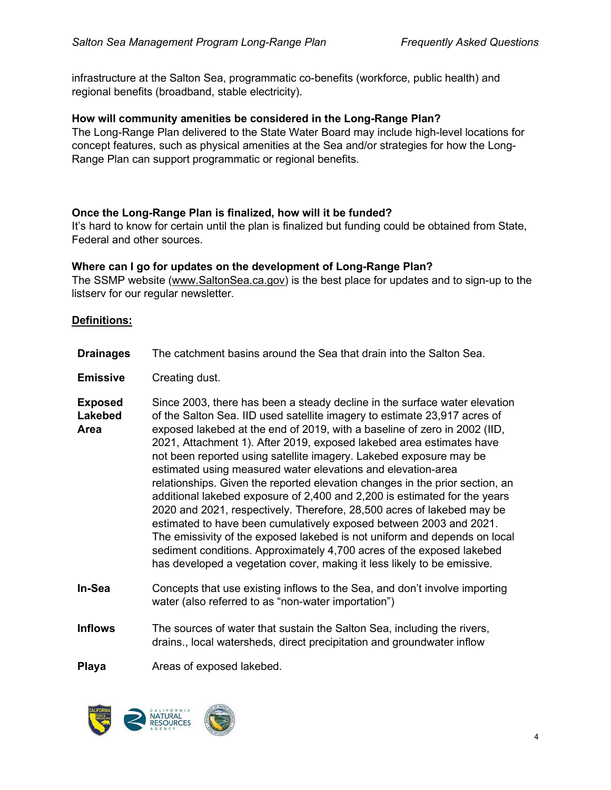infrastructure at the Salton Sea, programmatic co-benefits (workforce, public health) and regional benefits (broadband, stable electricity).

#### **How will community amenities be considered in the Long-Range Plan?**

The Long-Range Plan delivered to the State Water Board may include high-level locations for concept features, such as physical amenities at the Sea and/or strategies for how the Long-Range Plan can support programmatic or regional benefits.

#### **Once the Long-Range Plan is finalized, how will it be funded?**

It's hard to know for certain until the plan is finalized but funding could be obtained from State, Federal and other sources.

#### **Where can I go for updates on the development of Long-Range Plan?**

The SSMP website [\(www.SaltonSea.ca.gov\)](http://www.saltonsea.ca.gov/) is the best place for updates and to sign-up to the listserv for our regular newsletter.

#### **Definitions:**

- **Drainages** The catchment basins around the Sea that drain into the Salton Sea. **Emissive** Creating dust. **Exposed Lakebed Area** Since 2003, there has been a steady decline in the surface water elevation of the Salton Sea. IID used satellite imagery to estimate 23,917 acres of exposed lakebed at the end of 2019, with a baseline of zero in 2002 (IID, 2021, Attachment 1). After 2019, exposed lakebed area estimates have not been reported using satellite imagery. Lakebed exposure may be estimated using measured water elevations and elevation-area relationships. Given the reported elevation changes in the prior section, an additional lakebed exposure of 2,400 and 2,200 is estimated for the years 2020 and 2021, respectively. Therefore, 28,500 acres of lakebed may be estimated to have been cumulatively exposed between 2003 and 2021. The emissivity of the exposed lakebed is not uniform and depends on local sediment conditions. Approximately 4,700 acres of the exposed lakebed has developed a vegetation cover, making it less likely to be emissive. **In-Sea Inflows** Concepts that use existing inflows to the Sea, and don't involve importing water (also referred to as "non-water importation") The sources of water that sustain the Salton Sea, including the rivers,
- drains., local watersheds, direct precipitation and groundwater inflow

**Playa** Areas of exposed lakebed.